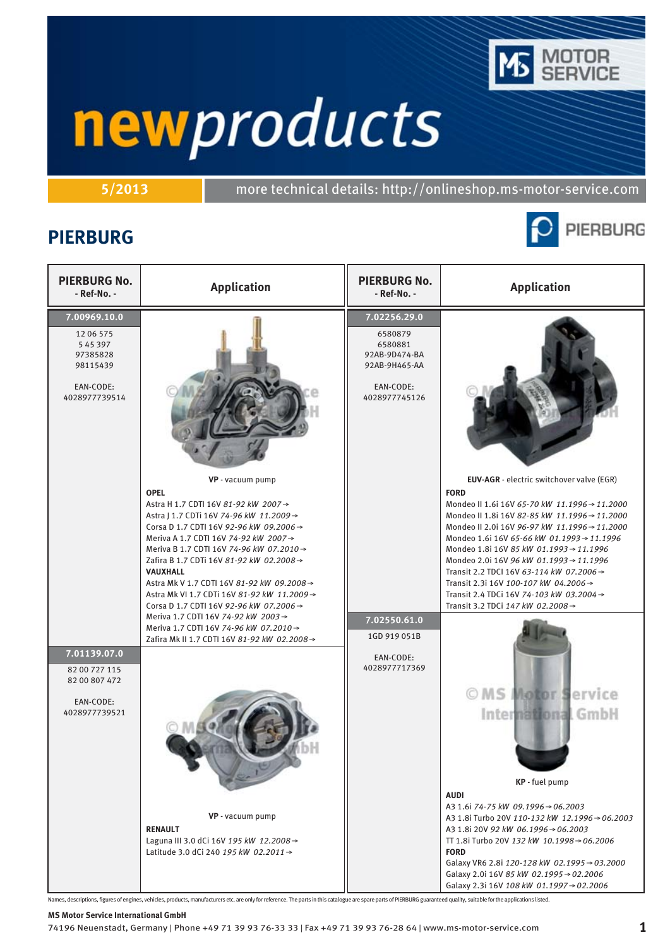

**5/2013** more technical details: http://onlineshop.ms-motor-service.com

## **PIERBURG**



| <b>PIERBURG No.</b><br>- Ref-No. -                                                        | <b>Application</b>                                                                                                                                                                                                                                                                                                                                                                                                                              | <b>PIERBURG No.</b><br>- Ref-No. -                                                                 | <b>Application</b>                                                                                                                                                                                                                                                                                                                                                                                                                                                                                                   |
|-------------------------------------------------------------------------------------------|-------------------------------------------------------------------------------------------------------------------------------------------------------------------------------------------------------------------------------------------------------------------------------------------------------------------------------------------------------------------------------------------------------------------------------------------------|----------------------------------------------------------------------------------------------------|----------------------------------------------------------------------------------------------------------------------------------------------------------------------------------------------------------------------------------------------------------------------------------------------------------------------------------------------------------------------------------------------------------------------------------------------------------------------------------------------------------------------|
| 7.00969.10.0<br>12 06 575<br>545397<br>97385828<br>98115439<br>EAN-CODE:<br>4028977739514 |                                                                                                                                                                                                                                                                                                                                                                                                                                                 | 7.02256.29.0<br>6580879<br>6580881<br>92AB-9D474-BA<br>92AB-9H465-AA<br>EAN-CODE:<br>4028977745126 |                                                                                                                                                                                                                                                                                                                                                                                                                                                                                                                      |
|                                                                                           | VP - vacuum pump<br><b>OPEL</b><br>Astra H 1.7 CDTI 16V 81-92 kW 2007→<br>Astra   1.7 CDTi 16V 74-96 kW 11.2009 →<br>Corsa D 1.7 CDTI 16V 92-96 kW 09.2006 →<br>Meriva A 1.7 CDTI 16V 74-92 kW 2007→<br>Meriva B 1.7 CDTI 16V 74-96 kW 07.2010 →<br>Zafira B 1.7 CDTi 16V 81-92 kW 02.2008→<br>VAUXHALL<br>Astra Mk V 1.7 CDTI 16V 81-92 kW 09.2008 →<br>Astra Mk VI 1.7 CDTi 16V 81-92 kW 11.2009 →<br>Corsa D 1.7 CDTI 16V 92-96 kW 07.2006 → |                                                                                                    | EUV-AGR - electric switchover valve (EGR)<br><b>FORD</b><br>Mondeo II 1.6i 16V 65-70 kW 11.1996 → 11.2000<br>Mondeo II 1.8i 16V 82-85 kW 11.1996 → 11.2000<br>Mondeo II 2.0i 16V 96-97 kW 11.1996 → 11.2000<br>Mondeo 1.6i 16V 65-66 kW 01.1993 → 11.1996<br>Mondeo 1.8i 16V 85 kW 01.1993 → 11.1996<br>Mondeo 2.0i 16V 96 kW 01.1993 → 11.1996<br>Transit 2.2 TDCI 16V 63-114 kW 07.2006 →<br>Transit 2.3i 16V 100-107 kW 04.2006 →<br>Transit 2.4 TDCi 16V 74-103 kW 03.2004 →<br>Transit 3.2 TDCi 147 kW 02.2008→ |
| 7.01139.07.0<br>82 00 727 115<br>82 00 807 472                                            | Meriva 1.7 CDTI 16V 74-92 kW 2003 →<br>Meriva 1.7 CDTI 16V 74-96 kW 07.2010 →<br>Zafira Mk II 1.7 CDTI 16V 81-92 kW 02.2008→                                                                                                                                                                                                                                                                                                                    | 7.02550.61.0<br>1GD 919 051B<br>EAN-CODE:<br>4028977717369                                         |                                                                                                                                                                                                                                                                                                                                                                                                                                                                                                                      |
| EAN-CODE:<br>4028977739521                                                                |                                                                                                                                                                                                                                                                                                                                                                                                                                                 |                                                                                                    | OMS Motor Service<br>International GmbH<br>KP - fuel pump                                                                                                                                                                                                                                                                                                                                                                                                                                                            |
|                                                                                           | VP - vacuum pump<br><b>RENAULT</b><br>Laguna III 3.0 dCi 16V 195 kW 12.2008 →<br>Latitude 3.0 dCi 240 195 kW 02.2011 →                                                                                                                                                                                                                                                                                                                          |                                                                                                    | AUDI<br>A3 1.6i 74-75 kW 09.1996→06.2003<br>A3 1.8i Turbo 20V 110-132 kW 12.1996→06.2003<br>A3 1.8i 20V 92 kW 06.1996 → 06.2003<br>TT 1.8i Turbo 20V 132 kW 10.1998 → 06.2006<br><b>FORD</b><br>Galaxy VR6 2.8i 120-128 kW 02.1995 → 03.2000<br>Galaxy 2.0i 16V 85 kW 02.1995 $\rightarrow$ 02.2006<br>Galaxy 2.3i 16V 108 kW 01.1997→02.2006                                                                                                                                                                        |

Names, descriptions, figures of engines, vehicles, products, manufacturers etc. are only for reference. The parts in this catalogue are spare parts of PIERBURG guaranteed quality, suitable for the applications listed.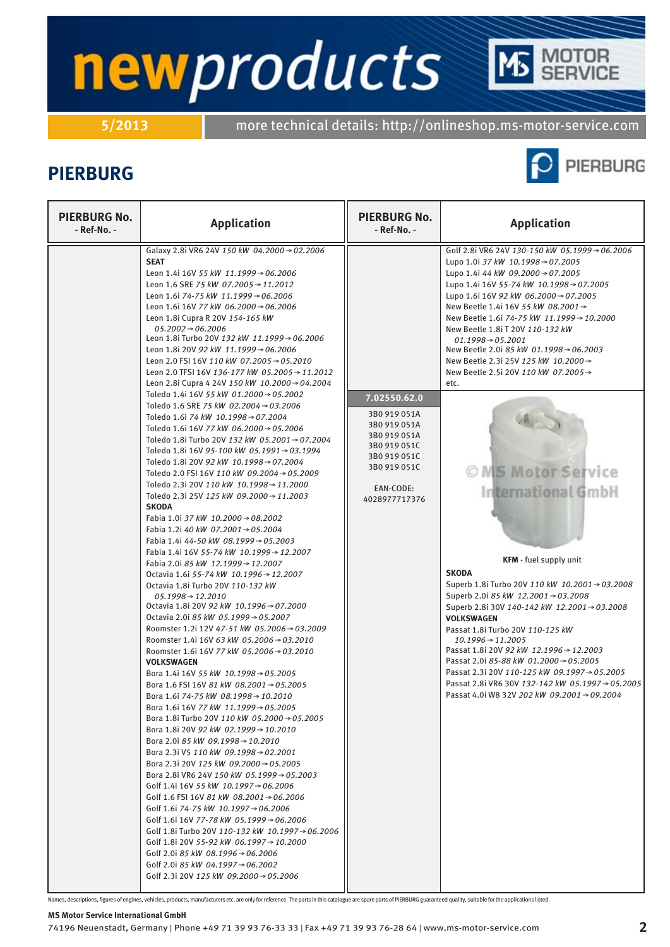**5/2013** more technical details: http://onlineshop.ms-motor-service.com

## **PIERBURG**



TOR<br>RVICE

| <b>PIERBURG No.</b><br>- Ref-No. - | <b>Application</b>                                                                                                                                                                                                                                                                                                                                                                                                                                                                                                                                                                                                                                                                                                                                                                                                                                                                                                                                                                                                                                                                                                                                                                                                                                                                                                                                                                                                                                                                                                                                                                                                                                                                                                                                                                                                                                                                                                                                                                                                                                                                                                                                                                                                                                                                                                                                                                                                                                                                                                                                                                                                                                                | <b>PIERBURG No.</b><br>- Ref-No. -                                                                                                         | <b>Application</b>                                                                                                                                                                                                                                                                                                                                                                                                                                                                                                                                                                                                                                                                                                                                                                                                                                                                                                                                                                                                                                                                                                        |
|------------------------------------|-------------------------------------------------------------------------------------------------------------------------------------------------------------------------------------------------------------------------------------------------------------------------------------------------------------------------------------------------------------------------------------------------------------------------------------------------------------------------------------------------------------------------------------------------------------------------------------------------------------------------------------------------------------------------------------------------------------------------------------------------------------------------------------------------------------------------------------------------------------------------------------------------------------------------------------------------------------------------------------------------------------------------------------------------------------------------------------------------------------------------------------------------------------------------------------------------------------------------------------------------------------------------------------------------------------------------------------------------------------------------------------------------------------------------------------------------------------------------------------------------------------------------------------------------------------------------------------------------------------------------------------------------------------------------------------------------------------------------------------------------------------------------------------------------------------------------------------------------------------------------------------------------------------------------------------------------------------------------------------------------------------------------------------------------------------------------------------------------------------------------------------------------------------------------------------------------------------------------------------------------------------------------------------------------------------------------------------------------------------------------------------------------------------------------------------------------------------------------------------------------------------------------------------------------------------------------------------------------------------------------------------------------------------------|--------------------------------------------------------------------------------------------------------------------------------------------|---------------------------------------------------------------------------------------------------------------------------------------------------------------------------------------------------------------------------------------------------------------------------------------------------------------------------------------------------------------------------------------------------------------------------------------------------------------------------------------------------------------------------------------------------------------------------------------------------------------------------------------------------------------------------------------------------------------------------------------------------------------------------------------------------------------------------------------------------------------------------------------------------------------------------------------------------------------------------------------------------------------------------------------------------------------------------------------------------------------------------|
| <b>SEAT</b>                        | Galaxy 2.8i VR6 24V 150 kW 04.2000 → 02.2006<br>Leon 1.4i 16V 55 kW 11.1999 $\rightarrow$ 06.2006<br>Leon 1.6 SRE 75 kW 07.2005 $\rightarrow$ 11.2012<br>Leon 1.6i 74-75 kW 11.1999 $\rightarrow$ 06.2006<br>Leon 1.6i 16V 77 kW 06.2000 → 06.2006<br>Leon 1.8i Cupra R 20V 154-165 kW<br>$05.2002 \rightarrow 06.2006$<br>Leon 1.8i Turbo 20V 132 kW 11.1999 $\rightarrow$ 06.2006<br>Leon 1.8i 20V 92 kW 11.1999 → 06.2006<br>Leon 2.0 FSI 16V 110 kW 07.2005 $\rightarrow$ 05.2010<br>Leon 2.0 TFSI 16V 136-177 kW 05.2005 → 11.2012<br>Leon 2.8i Cupra 4 24V 150 kW 10.2000 → 04.2004<br>Toledo 1.4i 16V 55 kW 01.2000 $\rightarrow$ 05.2002<br>Toledo 1.6 SRE 75 kW 02.2004 → 03.2006<br>Toledo 1.6i 74 kW 10.1998→07.2004<br>Toledo 1.6i 16V 77 kW 06.2000 $\rightarrow$ 05.2006<br>Toledo 1.8i Turbo 20V 132 kW 05.2001→07.2004<br>Toledo 1.8i 16V 95-100 kW 05.1991→03.1994<br>Toledo 1.8i 20V 92 kW 10.1998→07.2004<br>Toledo 2.0 FSI 16V 110 kW 09.2004 → 05.2009<br>Toledo 2.3i 20V 110 kW 10.1998→11.2000<br>Toledo 2.3i 25V 125 kW 09.2000 → 11.2003<br><b>SKODA</b><br>Fabia 1.0i 37 kW 10.2000 → 08.2002<br>Fabia 1.2i 40 kW 07.2001 → 05.2004<br>Fabia 1.4i 44-50 kW 08.1999 $\rightarrow$ 05.2003<br>Fabia 1.4i 16V 55-74 kW 10.1999 → 12.2007<br>Fabia 2.0i 85 kW 12.1999 → 12.2007<br>Octavia 1.6i 55-74 kW 10.1996 $\rightarrow$ 12.2007<br>Octavia 1.8i Turbo 20V 110-132 kW<br>$05.1998 \rightarrow 12.2010$<br>Octavia 1.8i 20V 92 kW 10.1996 → 07.2000<br>Octavia 2.0i 85 kW 05.1999 → 05.2007<br>Roomster 1.2i 12V 47-51 kW 05.2006→03.2009<br>Roomster 1.4i 16V 63 kW 05.2006→03.2010<br>Roomster 1.6i 16V 77 kW 05.2006 $\rightarrow$ 03.2010<br><b>VOLKSWAGEN</b><br>Bora 1.4i 16V 55 kW 10.1998 → 05.2005<br>Bora 1.6 FSI 16V 81 kW 08.2001 → 05.2005<br>Bora 1.6i 74-75 kW 08.1998→10.2010<br>Bora 1.6i 16V 77 kW 11.1999 → 05.2005<br>Bora 1.8i Turbo 20V 110 kW 05.2000 → 05.2005<br>Bora 1.8i 20V 92 kW 02.1999 → 10.2010<br>Bora 2.0i 85 kW 09.1998 $\rightarrow$ 10.2010<br>Bora 2.3i V5 110 kW 09.1998 → 02.2001<br>Bora 2.3i 20V 125 kW 09.2000 $\rightarrow$ 05.2005<br>Bora 2.8i VR6 24V 150 kW 05.1999 $\rightarrow$ 05.2003<br>Golf 1.4i 16V 55 kW 10.1997 → 06.2006<br>Golf 1.6 FSI 16V 81 kW 08.2001 $\rightarrow$ 06.2006<br>Golf 1.6i 74-75 kW 10.1997 $\rightarrow$ 06.2006<br>Golf 1.6i 16V 77-78 kW 05.1999 $\rightarrow$ 06.2006<br>Golf 1.8i Turbo 20V 110-132 kW 10.1997 $\rightarrow$ 06.2006<br>Golf 1.8i 20V 55-92 kW 06.1997 $\rightarrow$ 10.2000<br>Golf 2.0i 85 kW 08.1996 $\rightarrow$ 06.2006<br>Golf 2.0i 85 kW 04.1997 $\rightarrow$ 06.2002<br>Golf 2.3i 20V 125 kW 09.2000 $\rightarrow$ 05.2006 | 7.02550.62.0<br>3B0 919 051A<br>3B0 919 051A<br>3B0 919 051A<br>3B0 919 051C<br>3B0 919 051C<br>3B0 919 051C<br>EAN-CODE:<br>4028977717376 | Golf 2.8i VR6 24V 130-150 kW 05.1999→06.2006<br>Lupo 1.0i 37 kW 10.1998 → 07.2005<br>Lupo 1.4i 44 kW 09.2000 $\rightarrow$ 07.2005<br>Lupo 1.4i 16V 55-74 kW 10.1998→07.2005<br>Lupo 1.6i 16V 92 kW 06.2000 → 07.2005<br>New Beetle 1.4i 16V 55 kW 08.2001 $\rightarrow$<br>New Beetle 1.6i 74-75 kW 11.1999 → 10.2000<br>New Beetle 1.8i T 20V 110-132 kW<br>$01.1998 \rightarrow 05.2001$<br>New Beetle 2.0i 85 kW 01.1998 → 06.2003<br>New Beetle 2.3i 25V 125 kW 10.2000 →<br>New Beetle 2.5i 20V 110 kW 07.2005 →<br>etc.<br>O MS Motor Service<br><b>International GmbH</b><br>KFM - fuel supply unit<br><b>SKODA</b><br>Superb 1.8i Turbo 20V 110 kW 10.2001 → 03.2008<br>Superb 2.0i 85 kW 12.2001 $\rightarrow$ 03.2008<br>Superb 2.8i 30V 140-142 kW 12.2001→03.2008<br><b>VOLKSWAGEN</b><br>Passat 1.8i Turbo 20V 110-125 kW<br>$10.1996 \rightarrow 11.2005$<br>Passat 1.8i 20V 92 kW 12.1996 → 12.2003<br>Passat 2.0i 85-88 kW 01.2000 $\rightarrow$ 05.2005<br>Passat 2.3i 20V 110-125 kW 09.1997→ 05.2005<br>Passat 2.8i VR6 30V 132-142 kW 05.1997→05.2005<br>Passat 4.0i W8 32V 202 kW 09.2001 → 09.2004 |

Names, descriptions, figures of engines, vehicles, products, manufacturers etc. are only for reference. The parts in this catalogue are spare parts of PIERBURG guaranteed quality, suitable for the applications listed.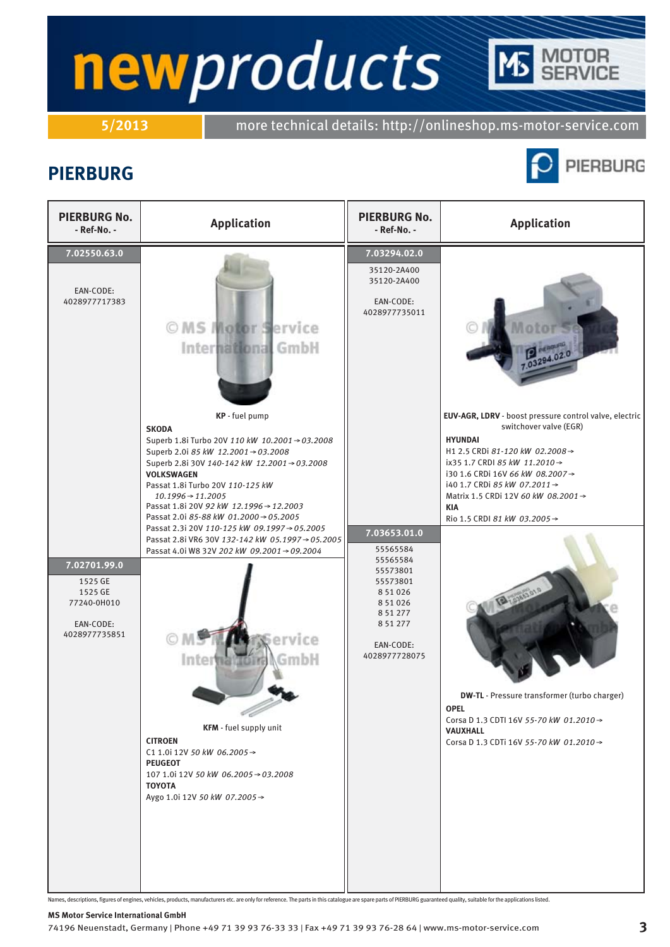**5/2013** more technical details: http://onlineshop.ms-motor-service.com

## **PIERBURG**



**TOR**<br>RVICE

| <b>PIERBURG No.</b><br>- Ref-No. -                                                                                            | <b>Application</b>                                                                                                                                                                                                                                                                                                                                                                                                                                                                                                                                                                                                                                                                                                                                                                                   | <b>PIERBURG No.</b><br>- Ref-No. -                                                                                                                                                                                           | <b>Application</b>                                                                                                                                                                                                                                                                                                                                                                                                                                                                                                                |
|-------------------------------------------------------------------------------------------------------------------------------|------------------------------------------------------------------------------------------------------------------------------------------------------------------------------------------------------------------------------------------------------------------------------------------------------------------------------------------------------------------------------------------------------------------------------------------------------------------------------------------------------------------------------------------------------------------------------------------------------------------------------------------------------------------------------------------------------------------------------------------------------------------------------------------------------|------------------------------------------------------------------------------------------------------------------------------------------------------------------------------------------------------------------------------|-----------------------------------------------------------------------------------------------------------------------------------------------------------------------------------------------------------------------------------------------------------------------------------------------------------------------------------------------------------------------------------------------------------------------------------------------------------------------------------------------------------------------------------|
| 7.02550.63.0<br>EAN-CODE:<br>4028977717383<br>7.02701.99.0<br>1525 GE<br>1525 GE<br>77240-0H010<br>EAN-CODE:<br>4028977735851 | OMS Motor Service<br>International GmbH<br>KP - fuel pump<br><b>SKODA</b><br>Superb 1.8i Turbo 20V 110 kW 10.2001 → 03.2008<br>Superb 2.0i 85 kW 12.2001 $\rightarrow$ 03.2008<br>Superb 2.8i 30V 140-142 kW 12.2001→03.2008<br><b>VOLKSWAGEN</b><br>Passat 1.8i Turbo 20V 110-125 kW<br>$10.1996 \rightarrow 11.2005$<br>Passat 1.8i 20V 92 kW 12.1996 → 12.2003<br>Passat 2.0i 85-88 kW 01.2000 → 05.2005<br>Passat 2.3i 20V 110-125 kW 09.1997→05.2005<br>Passat 2.8i VR6 30V 132-142 kW 05.1997→05.2005<br>Passat 4.0i W8 32V 202 kW 09.2001 → 09.2004<br>ervice<br>GmbH<br>Inter<br>KFM - fuel supply unit<br><b>CITROEN</b><br>C1 1.0i 12V 50 kW 06.2005 $\rightarrow$<br><b>PEUGEOT</b><br>107 1.0i 12V 50 kW 06.2005 → 03.2008<br><b>TOYOTA</b><br>Aygo 1.0i 12V 50 kW 07.2005 $\rightarrow$ | 7.03294.02.0<br>35120-2A400<br>35120-2A400<br>EAN-CODE:<br>4028977735011<br>7.03653.01.0<br>55565584<br>55565584<br>55573801<br>55573801<br>8 5 1 0 2 6<br>8 5 1 0 2 6<br>8 51 277<br>8 51 277<br>EAN-CODE:<br>4028977728075 | 7.03294.02.0<br>EUV-AGR, LDRV - boost pressure control valve, electric<br>switchover valve (EGR)<br><b>HYUNDAI</b><br>H1 2.5 CRDi 81-120 kW 02.2008→<br>ix35 1.7 CRDI 85 kW 11.2010 →<br>i30 1.6 CRDi 16V 66 kW 08.2007→<br>i40 1.7 CRDi 85 kW 07.2011 →<br>Matrix 1.5 CRDi 12V 60 kW 08.2001 →<br><b>KIA</b><br>Rio 1.5 CRDI 81 kW 03.2005→<br>Tal assis<br><b>DW-TL</b> - Pressure transformer (turbo charger)<br><b>OPEL</b><br>Corsa D 1.3 CDTI 16V 55-70 kW 01.2010 →<br>VAUXHALL<br>Corsa D 1.3 CDTi 16V 55-70 kW 01.2010 → |

Names, descriptions, figures of engines, vehicles, products, manufacturers etc. are only for reference. The parts in this catalogue are spare parts of PIERBURG guaranteed quality, suitable for the applications listed.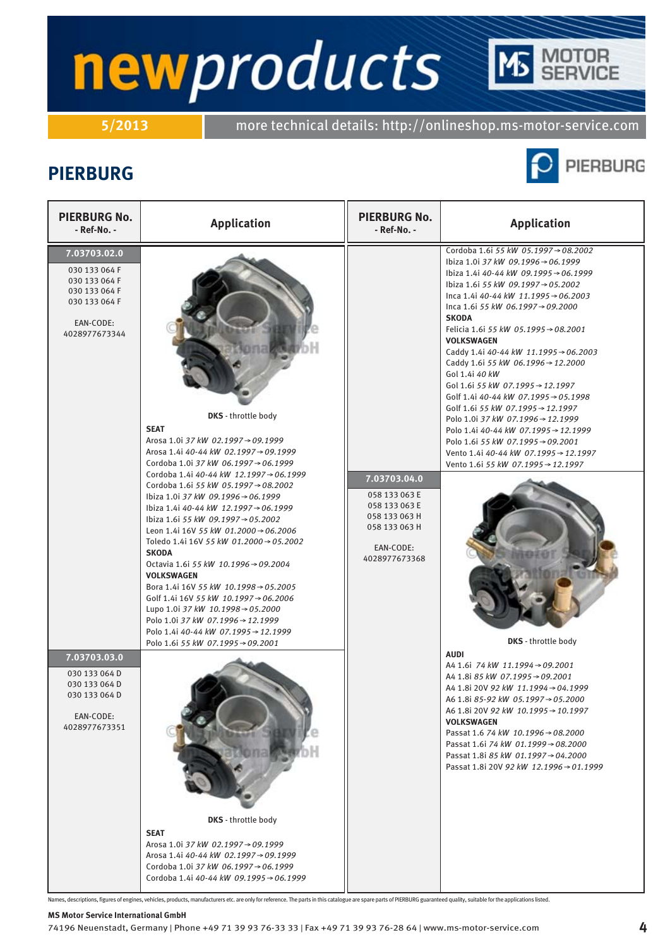# newproducts ITOR<br>RVICE

**5/2013** more technical details: http://onlineshop.ms-motor-service.com

### **PIERBURG**



| <b>PIERBURG No.</b><br>- Ref-No. -                                                                                                                                                                              | <b>Application</b>                                                                                                                                                                                                                                                                                                                                                                                                                                                                                                                                                                                                                                                                                                                                                                                                                                                                                                                                                                                               | <b>PIERBURG No.</b><br>- Ref-No. -                                                                             | <b>Application</b>                                                                                                                                                                                                                                                                                                                                                                                                                                                                                                                                                                                                                                                                                                                                                                                                                                                                                                                                                                                                                                                                                                                                                                                                               |
|-----------------------------------------------------------------------------------------------------------------------------------------------------------------------------------------------------------------|------------------------------------------------------------------------------------------------------------------------------------------------------------------------------------------------------------------------------------------------------------------------------------------------------------------------------------------------------------------------------------------------------------------------------------------------------------------------------------------------------------------------------------------------------------------------------------------------------------------------------------------------------------------------------------------------------------------------------------------------------------------------------------------------------------------------------------------------------------------------------------------------------------------------------------------------------------------------------------------------------------------|----------------------------------------------------------------------------------------------------------------|----------------------------------------------------------------------------------------------------------------------------------------------------------------------------------------------------------------------------------------------------------------------------------------------------------------------------------------------------------------------------------------------------------------------------------------------------------------------------------------------------------------------------------------------------------------------------------------------------------------------------------------------------------------------------------------------------------------------------------------------------------------------------------------------------------------------------------------------------------------------------------------------------------------------------------------------------------------------------------------------------------------------------------------------------------------------------------------------------------------------------------------------------------------------------------------------------------------------------------|
| 7.03703.02.0<br>030 133 064 F<br>030 133 064 F<br>030 133 064 F<br>030 133 064 F<br>EAN-CODE:<br>4028977673344<br>7.03703.03.0<br>030 133 064 D<br>030 133 064 D<br>030 133 064 D<br>EAN-CODE:<br>4028977673351 | <b>DKS</b> - throttle body<br><b>SEAT</b><br>Arosa 1.0i 37 kW 02.1997→09.1999<br>Arosa 1.4i 40-44 kW 02.1997→09.1999<br>Cordoba 1.0i 37 kW 06.1997 → 06.1999<br>Cordoba 1.4i 40-44 kW 12.1997→06.1999<br>Cordoba 1.6i 55 kW 05.1997 → 08.2002<br>lbiza 1.0i 37 kW 09.1996 → 06.1999<br>lbiza 1.4i 40-44 kW 12.1997→06.1999<br>lbiza 1.6i 55 kW 09.1997→05.2002<br>Leon 1.4i 16V 55 kW 01.2000 $\rightarrow$ 06.2006<br>Toledo 1.4i 16V 55 kW 01.2000 → 05.2002<br><b>SKODA</b><br>Octavia 1.6i 55 kW 10.1996 → 09.2004<br><b>VOLKSWAGEN</b><br>Bora 1.4i 16V 55 kW 10.1998 → 05.2005<br>Golf 1.4i 16V 55 kW 10.1997 → 06.2006<br>Lupo 1.0i 37 kW 10.1998 $\rightarrow$ 05.2000<br>Polo 1.0i 37 kW 07.1996 → 12.1999<br>Polo 1.4i 40-44 kW 07.1995 → 12.1999<br>Polo 1.6i 55 kW 07.1995 → 09.2001<br>DKS - throttle body<br><b>SEAT</b><br>Arosa 1.0i 37 kW 02.1997→09.1999<br>Arosa 1.4i 40-44 kW 02.1997→09.1999<br>Cordoba 1.0i 37 kW 06.1997 $\rightarrow$ 06.1999<br>Cordoba 1.4i 40-44 kW 09.1995 → 06.1999 | 7.03703.04.0<br>058 133 063 E<br>058 133 063 E<br>058 133 063 H<br>058 133 063 H<br>EAN-CODE:<br>4028977673368 | Cordoba 1.6i 55 kW 05.1997→08.2002<br>lbiza 1.0i 37 kW 09.1996 → 06.1999<br>Ibiza 1.4i 40-44 kW 09.1995→06.1999<br>Ibiza 1.6i 55 kW 09.1997→05.2002<br>Inca 1.4i 40-44 kW 11.1995 $\rightarrow$ 06.2003<br>Inca 1.6i 55 kW 06.1997 $\rightarrow$ 09.2000<br><b>SKODA</b><br>Felicia 1.6i 55 kW 05.1995 → 08.2001<br><b>VOLKSWAGEN</b><br>Caddy 1.4i 40-44 kW 11.1995 $\rightarrow$ 06.2003<br>Caddy 1.6i 55 kW 06.1996 → 12.2000<br>Gol 1.4i 40 kW<br>Gol 1.6i 55 kW 07.1995 → 12.1997<br>Golf 1.4i 40-44 kW 07.1995 $\rightarrow$ 05.1998<br>Golf 1.6i 55 kW 07.1995 $\rightarrow$ 12.1997<br>Polo 1.0i 37 kW 07.1996→12.1999<br>Polo 1.4i 40-44 kW 07.1995→12.1999<br>Polo 1.6i 55 kW 07.1995→09.2001<br>Vento 1.4i 40-44 kW 07.1995 → 12.1997<br>Vento 1.6i 55 kW 07.1995 → 12.1997<br>DKS - throttle body<br><b>AUDI</b><br>A4 1.6i 74 kW 11.1994 → 09.2001<br>A4 1.8i 85 kW 07.1995 → 09.2001<br>A4 1.8i 20V 92 kW 11.1994 → 04.1999<br>A6 1.8i 85-92 kW 05.1997→05.2000<br>A6 1.8i 20V 92 kW 10.1995 → 10.1997<br><b>VOLKSWAGEN</b><br>Passat 1.6 74 kW 10.1996 → 08.2000<br>Passat 1.6i 74 kW 01.1999 $\rightarrow$ 08.2000<br>Passat 1.8i 85 kW 01.1997 $\rightarrow$ 04.2000<br>Passat 1.8i 20V 92 kW 12.1996 → 01.1999 |

Names, descriptions, figures of engines, vehicles, products, manufacturers etc. are only for reference. The parts in this catalogue are spare parts of PIERBURG guaranteed quality, suitable for the applications listed.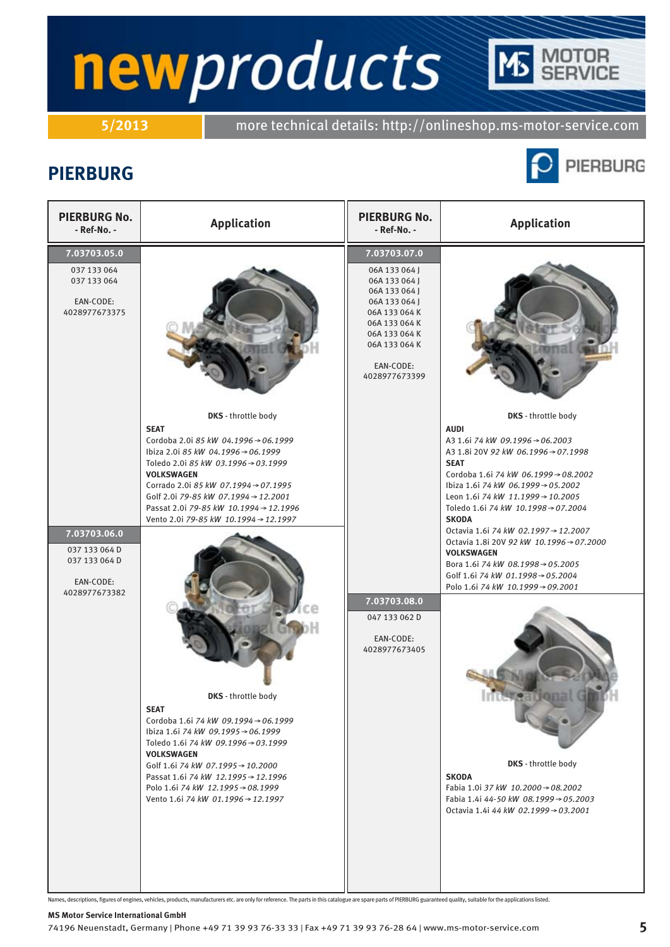# newproducts TOR<br>RVICE

**5/2013** more technical details: http://onlineshop.ms-motor-service.com

### **PIERBURG**



| <b>PIERBURG No.</b><br>- Ref-No. -                                           | <b>Application</b>                                                                                                                                                                                                                                                                                                                                                                                                                                                                                                                                                                                                                                                                                   | <b>PIERBURG No.</b><br>- Ref-No. -                                                                                                                                                 | <b>Application</b>                                                                                                                                                                                                                                                                                                                                                                                                                                                                                                                                                                                                                                                                                                           |
|------------------------------------------------------------------------------|------------------------------------------------------------------------------------------------------------------------------------------------------------------------------------------------------------------------------------------------------------------------------------------------------------------------------------------------------------------------------------------------------------------------------------------------------------------------------------------------------------------------------------------------------------------------------------------------------------------------------------------------------------------------------------------------------|------------------------------------------------------------------------------------------------------------------------------------------------------------------------------------|------------------------------------------------------------------------------------------------------------------------------------------------------------------------------------------------------------------------------------------------------------------------------------------------------------------------------------------------------------------------------------------------------------------------------------------------------------------------------------------------------------------------------------------------------------------------------------------------------------------------------------------------------------------------------------------------------------------------------|
| 7.03703.05.0<br>037 133 064<br>037 133 064<br>EAN-CODE:<br>4028977673375     |                                                                                                                                                                                                                                                                                                                                                                                                                                                                                                                                                                                                                                                                                                      | 7.03703.07.0<br>06A 133 064 J<br>06A 133 064 J<br>06A 133 064 J<br>06A 133 064 J<br>06A 133 064 K<br>06A 133 064 K<br>06A 133 064 K<br>06A 133 064 K<br>EAN-CODE:<br>4028977673399 |                                                                                                                                                                                                                                                                                                                                                                                                                                                                                                                                                                                                                                                                                                                              |
| 7.03703.06.0<br>037 133 064 D<br>037 133 064 D<br>EAN-CODE:<br>4028977673382 | <b>DKS</b> - throttle body<br><b>SEAT</b><br>Cordoba 2.0i 85 kW 04.1996 → 06.1999<br>lbiza 2.0i 85 kW 04.1996 → 06.1999<br>Toledo 2.0i 85 kW 03.1996 → 03.1999<br><b>VOLKSWAGEN</b><br>Corrado 2.0i 85 kW 07.1994 → 07.1995<br>Golf 2.0i 79-85 kW 07.1994 → 12.2001<br>Passat 2.0i 79-85 kW 10.1994 → 12.1996<br>Vento 2.0i 79-85 kW 10.1994 → 12.1997<br><b>DKS</b> - throttle body<br><b>SEAT</b><br>Cordoba 1.6i 74 kW 09.1994 → 06.1999<br>lbiza 1.6i 74 kW 09.1995 → 06.1999<br>Toledo 1.6i 74 kW 09.1996 → 03.1999<br><b>VOLKSWAGEN</b><br>Golf 1.6i 74 kW 07.1995 → 10.2000<br>Passat 1.6i 74 kW 12.1995 → 12.1996<br>Polo 1.6i 74 kW 12.1995 → 08.1999<br>Vento 1.6i 74 kW 01.1996 → 12.1997 | 7.03703.08.0<br>047 133 062 D<br>EAN-CODE:<br>4028977673405                                                                                                                        | <b>DKS</b> - throttle body<br><b>AUDI</b><br>A3 1.6i 74 kW 09.1996 → 06.2003<br>A3 1.8i 20V 92 kW 06.1996 → 07.1998<br><b>SEAT</b><br>Cordoba 1.6i 74 kW 06.1999→08.2002<br>Ibiza 1.6i 74 kW 06.1999 → 05.2002<br>Leon 1.6i 74 kW 11.1999→10.2005<br>Toledo 1.6i 74 kW 10.1998→07.2004<br><b>SKODA</b><br>Octavia 1.6i 74 kW 02.1997 → 12.2007<br>Octavia 1.8i 20V 92 kW 10.1996 → 07.2000<br><b>VOLKSWAGEN</b><br>Bora 1.6i 74 kW 08.1998 → 05.2005<br>Golf 1.6i 74 kW 01.1998 → 05.2004<br>Polo 1.6i 74 kW 10.1999→09.2001<br><b>International Gm</b><br><b>DKS</b> - throttle body<br><b>SKODA</b><br>Fabia 1.0i 37 kW 10.2000 → 08.2002<br>Fabia 1.4i 44-50 kW 08.1999 → 05.2003<br>Octavia 1.4i 44 kW 02.1999 → 03.2001 |

Names, descriptions, figures of engines, vehicles, products, manufacturers etc. are only for reference. The parts in this catalogue are spare parts of PIERBURG guaranteed quality, suitable for the applications listed.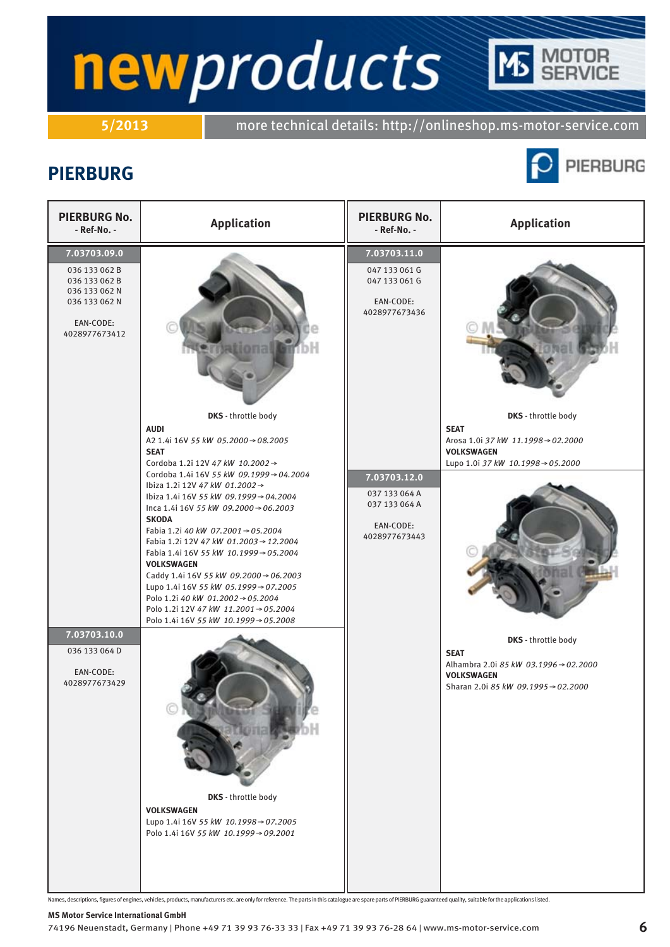# newproducts ITOR<br>RVICE

**5/2013** more technical details: http://onlineshop.ms-motor-service.com

## **PIERBURG**



Names, descriptions, figures of engines, vehicles, products, manufacturers etc. are only for reference. The parts in this catalogue are spare parts of PIERBURG guaranteed quality, suitable for the applications listed.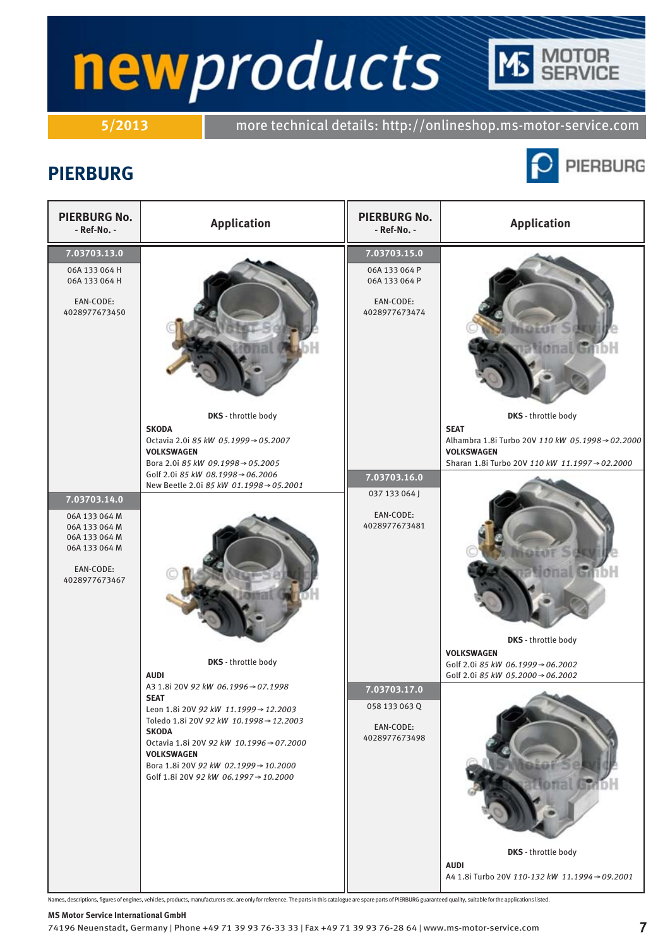# **TOR**<br>RVICE newproducts

**5/2013** more technical details: http://onlineshop.ms-motor-service.com

## **PIERBURG**



| <b>PIERBURG No.</b><br>- Ref-No. -                                                                             | <b>Application</b>                                                                                                                                                                                                                                                                                                  | <b>PIERBURG No.</b><br>- Ref-No. -                                           | <b>Application</b>                                                                                                                                                                          |
|----------------------------------------------------------------------------------------------------------------|---------------------------------------------------------------------------------------------------------------------------------------------------------------------------------------------------------------------------------------------------------------------------------------------------------------------|------------------------------------------------------------------------------|---------------------------------------------------------------------------------------------------------------------------------------------------------------------------------------------|
| 7.03703.13.0<br>06A 133 064 H<br>06A 133 064 H<br>EAN-CODE:<br>4028977673450                                   |                                                                                                                                                                                                                                                                                                                     | 7.03703.15.0<br>06A 133 064 P<br>06A 133 064 P<br>EAN-CODE:<br>4028977673474 |                                                                                                                                                                                             |
|                                                                                                                | DKS - throttle body<br><b>SKODA</b><br>Octavia 2.0i 85 kW 05.1999 → 05.2007<br><b>VOLKSWAGEN</b>                                                                                                                                                                                                                    |                                                                              | DKS - throttle body<br><b>SEAT</b><br>Alhambra 1.8i Turbo 20V 110 kW 05.1998 → 02.2000<br><b>VOLKSWAGEN</b>                                                                                 |
| 7.03703.14.0<br>06A 133 064 M<br>06A 133 064 M<br>06A 133 064 M<br>06A 133 064 M<br>EAN-CODE:<br>4028977673467 | Bora 2.0i 85 kW 09.1998→05.2005<br>Golf 2.0i 85 kW 08.1998→06.2006<br>New Beetle 2.0i 85 kW 01.1998→05.2001<br>DKS - throttle body<br><b>AUDI</b>                                                                                                                                                                   | 7.03703.16.0<br>037 133 064 J<br>EAN-CODE:<br>4028977673481                  | Sharan 1.8i Turbo 20V 110 kW 11.1997 → 02.2000<br>nal GinbH<br>DKS - throttle body<br><b>VOLKSWAGEN</b><br>Golf 2.0i 85 kW 06.1999→06.2002<br>Golf 2.0i 85 kW 05.2000 $\rightarrow$ 06.2002 |
|                                                                                                                | A3 1.8i 20V 92 kW 06.1996 → 07.1998<br><b>SEAT</b><br>Leon 1.8i 20V 92 kW 11.1999 $\rightarrow$ 12.2003<br>Toledo 1.8i 20V 92 kW 10.1998→12.2003<br><b>SKODA</b><br>Octavia 1.8i 20V 92 kW 10.1996 → 07.2000<br><b>VOLKSWAGEN</b><br>Bora 1.8i 20V 92 kW 02.1999 → 10.2000<br>Golf 1.8i 20V 92 kW 06.1997 → 10.2000 | 7.03703.17.0<br>058 133 063 Q<br>EAN-CODE:<br>4028977673498                  | DKS - throttle body<br><b>AUDI</b><br>A4 1.8i Turbo 20V 110-132 kW 11.1994 → 09.2001                                                                                                        |

Names, descriptions, figures of engines, vehicles, products, manufacturers etc. are only for reference. The parts in this catalogue are spare parts of PIERBURG guaranteed quality, suitable for the applications listed.

#### **MS Motor Service International GmbH**

74196 Neuenstadt, Germany | Phone +49 71 39 93 76-33 33 | Fax +49 71 39 93 76-28 64 | www.ms-motor-service.com **7**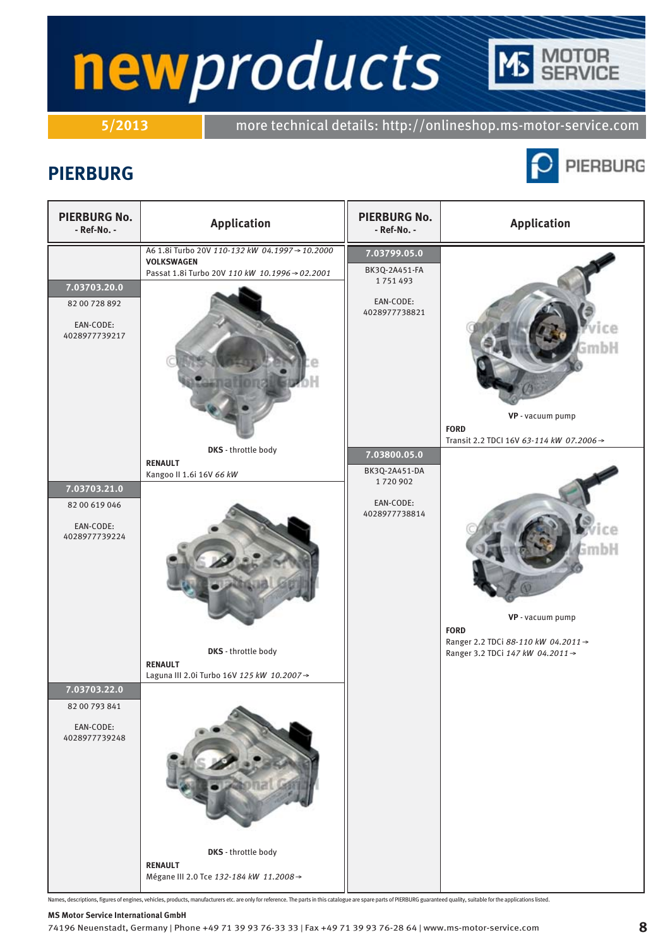**5/2013** more technical details: http://onlineshop.ms-motor-service.com

### **PIERBURG**



**TOR**<br>RVICE

| <b>PIERBURG No.</b><br>- Ref-No. -                          | <b>Application</b>                                                                                                  | <b>PIERBURG No.</b><br>- Ref-No. -                                     | <b>Application</b>                                                                                                |
|-------------------------------------------------------------|---------------------------------------------------------------------------------------------------------------------|------------------------------------------------------------------------|-------------------------------------------------------------------------------------------------------------------|
| 7.03703.20.0<br>82 00 728 892<br>EAN-CODE:<br>4028977739217 | A6 1.8i Turbo 20V 110-132 kW 04.1997→10.2000<br><b>VOLKSWAGEN</b><br>Passat 1.8i Turbo 20V 110 kW 10.1996 → 02.2001 | 7.03799.05.0<br>BK3Q-2A451-FA<br>1751493<br>EAN-CODE:<br>4028977738821 | mbH                                                                                                               |
| 7.03703.21.0<br>82 00 619 046<br>EAN-CODE:<br>4028977739224 | DKS - throttle body<br><b>RENAULT</b><br>Kangoo II 1.6i 16V 66 kW                                                   | 7.03800.05.0<br>BK3Q-2A451-DA<br>1720902<br>EAN-CODE:<br>4028977738814 | VP - vacuum pump<br><b>FORD</b><br>Transit 2.2 TDCI 16V 63-114 kW 07.2006 →                                       |
|                                                             | DKS - throttle body<br><b>RENAULT</b><br>Laguna III 2.0i Turbo 16V 125 kW 10.2007→                                  |                                                                        | imbH<br>VP - vacuum pump<br><b>FORD</b><br>Ranger 2.2 TDCi 88-110 kW 04.2011→<br>Ranger 3.2 TDCi 147 kW 04.2011 → |
| 7.03703.22.0<br>82 00 793 841<br>EAN-CODE:<br>4028977739248 | DKS - throttle body                                                                                                 |                                                                        |                                                                                                                   |
|                                                             | <b>RENAULT</b><br>Mégane III 2.0 Tce 132-184 kW 11.2008 →                                                           |                                                                        |                                                                                                                   |

Names, descriptions, figures of engines, vehicles, products, manufacturers etc. are only for reference. The parts in this catalogue are spare parts of PIERBURG guaranteed quality, suitable for the applications listed.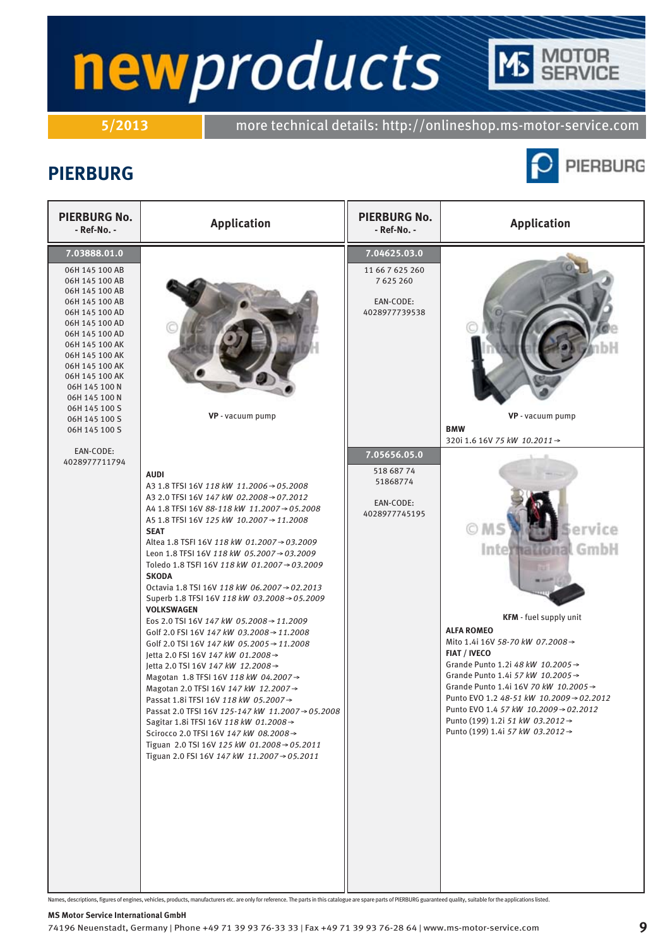**5/2013** more technical details: http://onlineshop.ms-motor-service.com

### **PIERBURG**



**TOR**<br>RVICE

| <b>PIERBURG No.</b><br>- Ref-No. -                                                                                                                                                                                                                                                                      | <b>Application</b>                                                                                                                                                                                                                                                                                                                                                                                                                                                                                                                                                                                                                                                                                                                                                                                                                                                                                                                                                                                                                                                                                           | <b>PIERBURG No.</b><br>- Ref-No. -                                         | <b>Application</b>                                                                                                                                                                                                                                                                                                                                                                                                                                                    |
|---------------------------------------------------------------------------------------------------------------------------------------------------------------------------------------------------------------------------------------------------------------------------------------------------------|--------------------------------------------------------------------------------------------------------------------------------------------------------------------------------------------------------------------------------------------------------------------------------------------------------------------------------------------------------------------------------------------------------------------------------------------------------------------------------------------------------------------------------------------------------------------------------------------------------------------------------------------------------------------------------------------------------------------------------------------------------------------------------------------------------------------------------------------------------------------------------------------------------------------------------------------------------------------------------------------------------------------------------------------------------------------------------------------------------------|----------------------------------------------------------------------------|-----------------------------------------------------------------------------------------------------------------------------------------------------------------------------------------------------------------------------------------------------------------------------------------------------------------------------------------------------------------------------------------------------------------------------------------------------------------------|
| 7.03888.01.0<br>06H 145 100 AB<br>06H 145 100 AB<br>06H 145 100 AB<br>06H 145 100 AB<br>06H 145 100 AD<br>06H 145 100 AD<br>06H 145 100 AD<br>06H 145 100 AK<br>06H 145 100 AK<br>06H 145 100 AK<br>06H 145 100 AK<br>06H 145 100 N<br>06H 145 100 N<br>06H 145 100 S<br>06H 145 100 S<br>06H 145 100 S | VP - vacuum pump                                                                                                                                                                                                                                                                                                                                                                                                                                                                                                                                                                                                                                                                                                                                                                                                                                                                                                                                                                                                                                                                                             | 7.04625.03.0<br>11 66 7 625 260<br>7 625 260<br>EAN-CODE:<br>4028977739538 | VP - vacuum pump<br><b>BMW</b>                                                                                                                                                                                                                                                                                                                                                                                                                                        |
| EAN-CODE:<br>4028977711794                                                                                                                                                                                                                                                                              | <b>AUDI</b><br>A3 1.8 TFSI 16V 118 kW 11.2006 → 05.2008<br>A3 2.0 TFSI 16V 147 kW 02.2008→07.2012<br>A4 1.8 TFSI 16V 88-118 kW 11.2007→05.2008<br>A5 1.8 TFSI 16V 125 kW 10.2007→11.2008<br><b>SEAT</b><br>Altea 1.8 TSFI 16V 118 kW 01.2007→03.2009<br>Leon 1.8 TFSI 16V 118 kW 05.2007→03.2009<br>Toledo 1.8 TSFI 16V 118 kW 01.2007→03.2009<br><b>SKODA</b><br>Octavia 1.8 TSI 16V 118 kW 06.2007→02.2013<br>Superb 1.8 TFSI 16V 118 kW 03.2008→05.2009<br><b>VOLKSWAGEN</b><br>Eos 2.0 TSI 16V 147 kW 05.2008 $\rightarrow$ 11.2009<br>Golf 2.0 FSI 16V 147 kW 03.2008 → 11.2008<br>Golf 2.0 TSI 16V 147 kW 05.2005 → 11.2008<br>letta 2.0 FSI 16V 147 kW 01.2008→<br>Jetta 2.0 TSI 16V 147 kW 12.2008→<br>Magotan 1.8 TFSI 16V 118 kW 04.2007 $\rightarrow$<br>Magotan 2.0 TFSI 16V 147 kW 12.2007→<br>Passat 1.8i TFSI 16V 118 kW 05.2007 $\rightarrow$<br>Passat 2.0 TFSI 16V 125-147 kW 11.2007→05.2008<br>Sagitar 1.8i TFSI 16V 118 kW 01.2008 →<br>Scirocco 2.0 TFSI 16V 147 kW 08.2008→<br>Tiguan 2.0 TSI 16V 125 kW 01.2008 $\rightarrow$ 05.2011<br>Tiguan 2.0 FSI 16V 147 kW 11.2007 → 05.2011 | 7.05656.05.0<br>518 687 74<br>51868774<br>EAN-CODE:<br>4028977745195       | 320i 1.6 16V 75 kW 10.2011 →<br>ervice<br>OMS<br>International GmbH<br>KFM - fuel supply unit<br><b>ALFA ROMEO</b><br>Mito 1.4i 16V 58-70 kW 07.2008→<br><b>FIAT / IVECO</b><br>Grande Punto 1.2i 48 kW 10.2005 →<br>Grande Punto 1.4i 57 kW 10.2005 →<br>Grande Punto 1.4i 16V 70 kW 10.2005 →<br>Punto EVO 1.2 48-51 kW 10.2009→02.2012<br>Punto EVO 1.4 57 kW 10.2009 → 02.2012<br>Punto (199) 1.2i 51 kW 03.2012 $\rightarrow$<br>Punto (199) 1.4i 57 kW 03.2012→ |

Names, descriptions, figures of engines, vehicles, products, manufacturers etc. are only for reference. The parts in this catalogue are spare parts of PIERBURG guaranteed quality, suitable for the applications listed.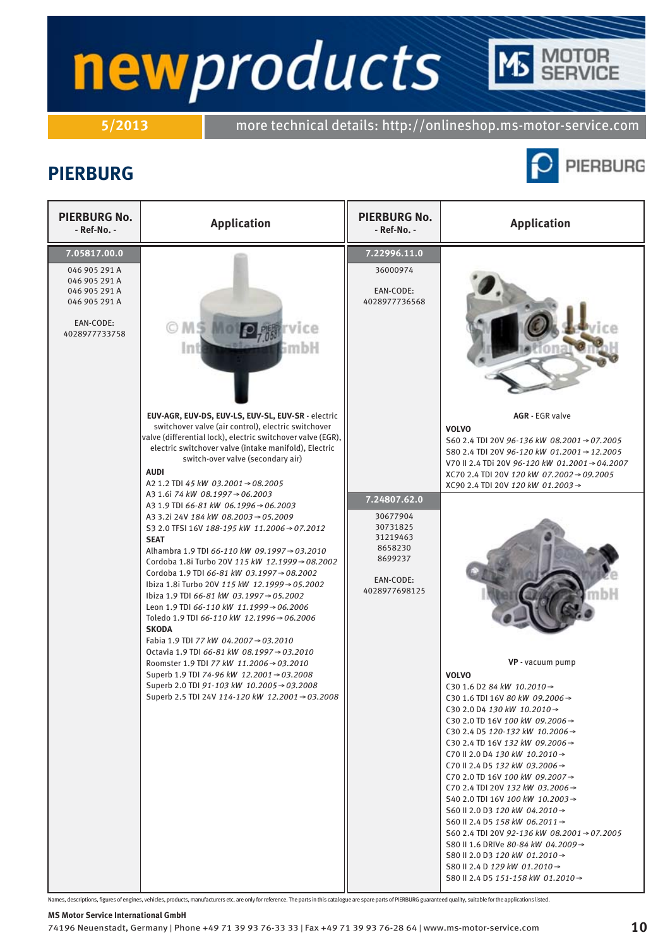**5/2013** more technical details: http://onlineshop.ms-motor-service.com

### **PIERBURG**





Names, descriptions, figures of engines, vehicles, products, manufacturers etc. are only for reference. The parts in this catalogue are spare parts of PIERBURG guaranteed quality, suitable for the applications listed.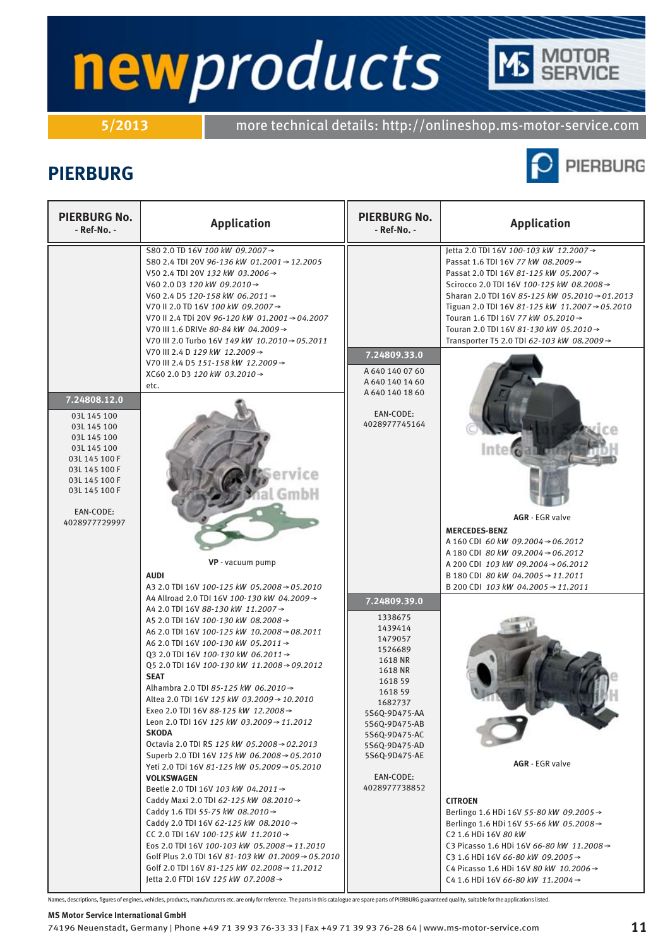# newproducts **TOR**<br>RVICE

**5/2013** more technical details: http://onlineshop.ms-motor-service.com

## **PIERBURG**



| <b>PIERBURG No.</b><br>- Ref-No. -                                                                                                                                         | <b>Application</b>                                                                                                                                                                                                                                                                                                                                                                                                                                                                                                                                                                                                                                                                                                                                                                                                                                                                                                                                                                                                                                                                                                                                                                                 | <b>PIERBURG No.</b><br>- Ref-No. -                                                                                                                                                                                                 | <b>Application</b>                                                                                                                                                                                                                                                                                                                                                                                                                                                                                                                                                                                   |
|----------------------------------------------------------------------------------------------------------------------------------------------------------------------------|----------------------------------------------------------------------------------------------------------------------------------------------------------------------------------------------------------------------------------------------------------------------------------------------------------------------------------------------------------------------------------------------------------------------------------------------------------------------------------------------------------------------------------------------------------------------------------------------------------------------------------------------------------------------------------------------------------------------------------------------------------------------------------------------------------------------------------------------------------------------------------------------------------------------------------------------------------------------------------------------------------------------------------------------------------------------------------------------------------------------------------------------------------------------------------------------------|------------------------------------------------------------------------------------------------------------------------------------------------------------------------------------------------------------------------------------|------------------------------------------------------------------------------------------------------------------------------------------------------------------------------------------------------------------------------------------------------------------------------------------------------------------------------------------------------------------------------------------------------------------------------------------------------------------------------------------------------------------------------------------------------------------------------------------------------|
| 7.24808.12.0<br>03L 145 100<br>03L 145 100<br>03L 145 100<br>03L 145 100<br>03L 145 100 F<br>03L 145 100 F<br>03L 145 100 F<br>03L 145 100 F<br>EAN-CODE:<br>4028977729997 | S80 2.0 TD 16V 100 kW 09.2007→<br>S80 2.4 TDI 20V 96-136 kW 01.2001 → 12.2005<br>V50 2.4 TDI 20V 132 kW 03.2006 →<br>V60 2.0 D3 120 kW 09.2010 →<br>V60 2.4 D5 120-158 kW 06.2011 →<br>V70 II 2.0 TD 16V 100 kW 09.2007→<br>V70 II 2.4 TDi 20V 96-120 kW 01.2001→04.2007<br>V70 III 1.6 DRIVe 80-84 kW 04.2009 →<br>V70 III 2.0 Turbo 16V 149 kW 10.2010 → 05.2011<br>V70 III 2.4 D 129 kW 12.2009→<br>V70 III 2.4 D5 151-158 kW 12.2009 →<br>XC60 2.0 D3 120 kW 03.2010 →<br>etc.<br>VP - vacuum pump                                                                                                                                                                                                                                                                                                                                                                                                                                                                                                                                                                                                                                                                                             | 7.24809.33.0<br>A 640 140 07 60<br>A 640 140 14 60<br>A 640 140 18 60<br>EAN-CODE:<br>4028977745164                                                                                                                                | letta 2.0 TDI 16V 100-103 kW 12.2007→<br>Passat 1.6 TDI 16V 77 kW 08.2009 →<br>Passat 2.0 TDI 16V 81-125 kW 05.2007→<br>Scirocco 2.0 TDI 16V 100-125 kW 08.2008→<br>Sharan 2.0 TDI 16V 85-125 kW 05.2010 → 01.2013<br>Tiguan 2.0 TDI 16V 81-125 kW 11.2007 → 05.2010<br>Touran 1.6 TDI 16V 77 kW 05.2010 →<br>Touran 2.0 TDI 16V 81-130 kW 05.2010 →<br>Transporter T5 2.0 TDI 62-103 kW 08.2009→<br>Inte <sup>®</sup><br><b>AGR</b> - EGR valve<br><b>MERCEDES-BENZ</b><br>A 160 CDI 60 kW 09.2004 $\rightarrow$ 06.2012<br>A 180 CDI 80 kW 09.2004 → 06.2012<br>A 200 CDI 103 kW 09.2004 → 06.2012 |
|                                                                                                                                                                            | <b>AUDI</b><br>A3 2.0 TDI 16V 100-125 kW 05.2008 → 05.2010                                                                                                                                                                                                                                                                                                                                                                                                                                                                                                                                                                                                                                                                                                                                                                                                                                                                                                                                                                                                                                                                                                                                         |                                                                                                                                                                                                                                    | B 180 CDI 80 kW 04.2005 → 11.2011<br>B 200 CDI 103 kW 04.2005 → 11.2011                                                                                                                                                                                                                                                                                                                                                                                                                                                                                                                              |
|                                                                                                                                                                            | A4 Allroad 2.0 TDI 16V 100-130 kW 04.2009→<br>A4 2.0 TDI 16V 88-130 kW 11.2007→<br>A5 2.0 TDI 16V 100-130 kW 08.2008→<br>A6 2.0 TDI 16V 100-125 kW 10.2008 → 08.2011<br>A6 2.0 TDI 16V 100-130 kW 05.2011 →<br>Q3 2.0 TDI 16V 100-130 kW 06.2011 →<br>Q5 2.0 TDI 16V 100-130 kW 11.2008 → 09.2012<br><b>SEAT</b><br>Alhambra 2.0 TDI 85-125 kW 06.2010 $\rightarrow$<br>Altea 2.0 TDI 16V 125 kW 03.2009→10.2010<br>Exeo 2.0 TDI 16V 88-125 kW 12.2008→<br>Leon 2.0 TDI 16V 125 kW 03.2009 $\rightarrow$ 11.2012<br><b>SKODA</b><br>Octavia 2.0 TDI RS 125 kW 05.2008 $\rightarrow$ 02.2013<br>Superb 2.0 TDI 16V 125 kW 06.2008 $\rightarrow$ 05.2010<br>Yeti 2.0 TDi 16V 81-125 kW 05.2009→05.2010<br><b>VOLKSWAGEN</b><br>Beetle 2.0 TDI 16V 103 kW 04.2011 $\rightarrow$<br>Caddy Maxi 2.0 TDI 62-125 kW 08.2010 →<br>Caddy 1.6 TDI 55-75 kW 08.2010 $\rightarrow$<br>Caddy 2.0 TDI 16V 62-125 kW 08.2010 $\rightarrow$<br>CC 2.0 TDI 16V 100-125 kW 11.2010 →<br>Eos 2.0 TDI 16V 100-103 kW 05.2008 $\rightarrow$ 11.2010<br>Golf Plus 2.0 TDI 16V 81-103 kW 01.2009 $\rightarrow$ 05.2010<br>Golf 2.0 TDI 16V 81-125 kW 02.2008 $\rightarrow$ 11.2012<br>Jetta 2.0 FTDI 16V 125 kW 07.2008 → | 7.24809.39.0<br>1338675<br>1439414<br>1479057<br>1526689<br>1618 NR<br>1618 NR<br>1618 59<br>1618 59<br>1682737<br>5S6Q-9D475-AA<br>5S6Q-9D475-AB<br>5S6Q-9D475-AC<br>5S6Q-9D475-AD<br>5S6Q-9D475-AE<br>EAN-CODE:<br>4028977738852 | <b>AGR</b> - EGR valve<br><b>CITROEN</b><br>Berlingo 1.6 HDi 16V 55-80 kW 09.2005 $\rightarrow$<br>Berlingo 1.6 HDi 16V 55-66 kW 05.2008 $\rightarrow$<br>C <sub>2</sub> 1.6 HDi 16V 80 kW<br>C3 Picasso 1.6 HDi 16V 66-80 kW 11.2008→<br>C3 1.6 HDi 16V 66-80 kW 09.2005 →<br>C4 Picasso 1.6 HDi 16V 80 kW 10.2006 →<br>C4 1.6 HDi 16V 66-80 kW 11.2004 →                                                                                                                                                                                                                                           |

Names, descriptions, figures of engines, vehicles, products, manufacturers etc. are only for reference. The parts in this catalogue are spare parts of PIERBURG guaranteed quality, suitable for the applications listed.